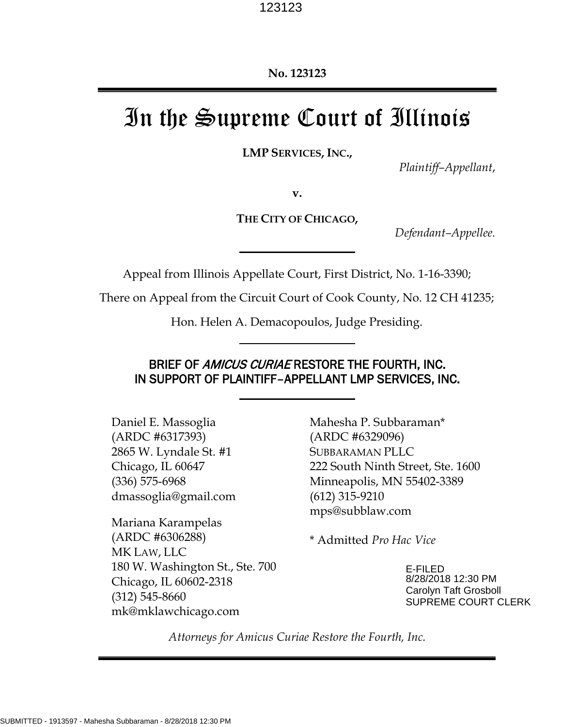# In the Supreme Court of Illinois

**LMP SERVICES, INC.,** 

*Plaintiff–Appellant*,

**v.** 

**THE CITY OF CHICAGO,** 

*Defendant–Appellee.* 

Appeal from Illinois Appellate Court, First District, No. 1-16-3390;

There on Appeal from the Circuit Court of Cook County, No. 12 CH 41235;

Hon. Helen A. Demacopoulos, Judge Presiding.

## BRIEF OF AMICUS CURIAE RESTORE THE FOURTH, INC. IN SUPPORT OF PLAINTIFF–APPELLANT LMP SERVICES, INC.

Daniel E. Massoglia (ARDC #6317393) 2865 W. Lyndale St. #1 Chicago, IL 60647 (336) 575-6968 dmassoglia@gmail.com

Mariana Karampelas (ARDC #6306288) MK LAW, LLC 180 W. Washington St., Ste. 700 Chicago, IL 60602-2318 (312) 545-8660 mk@mklawchicago.com

Mahesha P. Subbaraman\* (ARDC #6329096) SUBBARAMAN PLLC 222 South Ninth Street, Ste. 1600 Minneapolis, MN 55402-3389 (612) 315-9210 mps@subblaw.com

\* Admitted *Pro Hac Vice*

E-FILED 8/28/2018 12:30 PM Carolyn Taft Grosboll SUPREME COURT CLERK

*Attorneys for Amicus Curiae Restore the Fourth, Inc.*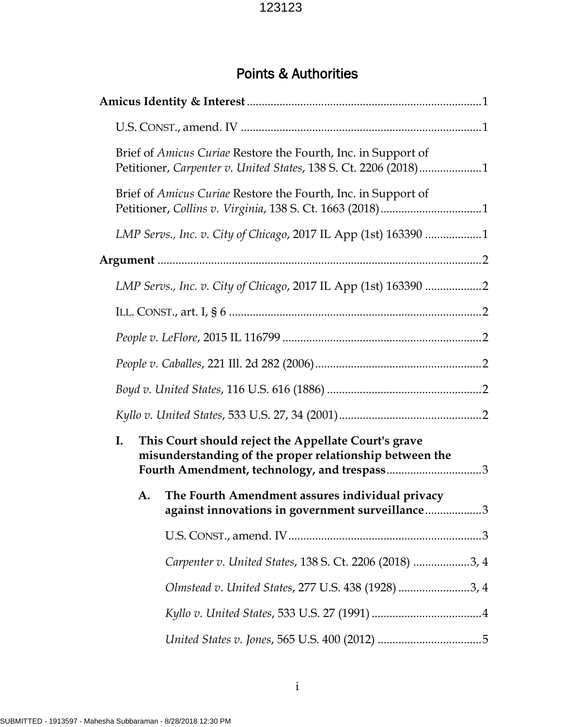## Points & Authorities

|    | Brief of <i>Amicus Curiae</i> Restore the Fourth, Inc. in Support of<br>Petitioner, Carpenter v. United States, 138 S. Ct. 2206 (2018)1                        |
|----|----------------------------------------------------------------------------------------------------------------------------------------------------------------|
|    | Brief of Amicus Curiae Restore the Fourth, Inc. in Support of                                                                                                  |
|    | LMP Servs., Inc. v. City of Chicago, 2017 IL App (1st) 163390 1                                                                                                |
|    |                                                                                                                                                                |
|    | LMP Servs., Inc. v. City of Chicago, 2017 IL App (1st) 163390 2                                                                                                |
|    |                                                                                                                                                                |
|    |                                                                                                                                                                |
|    |                                                                                                                                                                |
|    |                                                                                                                                                                |
|    |                                                                                                                                                                |
| I. | This Court should reject the Appellate Court's grave<br>misunderstanding of the proper relationship between the<br>Fourth Amendment, technology, and trespass3 |
| А. | The Fourth Amendment assures individual privacy<br>against innovations in government surveillance3                                                             |
|    |                                                                                                                                                                |
|    | Carpenter v. United States, 138 S. Ct. 2206 (2018) 3, 4                                                                                                        |
|    | Olmstead v. United States, 277 U.S. 438 (1928) 3, 4                                                                                                            |
|    |                                                                                                                                                                |
|    |                                                                                                                                                                |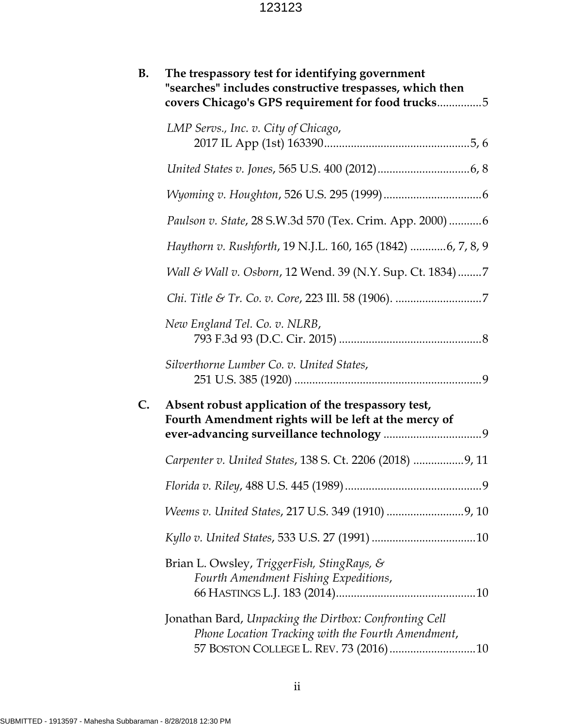| <b>B.</b> | The trespassory test for identifying government<br>"searches" includes constructive trespasses, which then<br>covers Chicago's GPS requirement for food trucks5 |
|-----------|-----------------------------------------------------------------------------------------------------------------------------------------------------------------|
|           | LMP Servs., Inc. v. City of Chicago,                                                                                                                            |
|           |                                                                                                                                                                 |
|           |                                                                                                                                                                 |
|           | Paulson v. State, 28 S.W.3d 570 (Tex. Crim. App. 2000) 6                                                                                                        |
|           | Haythorn v. Rushforth, 19 N.J.L. 160, 165 (1842) 6, 7, 8, 9                                                                                                     |
|           | Wall & Wall v. Osborn, 12 Wend. 39 (N.Y. Sup. Ct. 1834)7                                                                                                        |
|           |                                                                                                                                                                 |
|           | New England Tel. Co. v. NLRB,                                                                                                                                   |
|           | Silverthorne Lumber Co. v. United States,                                                                                                                       |
| C.        | Absent robust application of the trespassory test,<br>Fourth Amendment rights will be left at the mercy of                                                      |
|           | Carpenter v. United States, 138 S. Ct. 2206 (2018) 9, 11                                                                                                        |
|           |                                                                                                                                                                 |
|           |                                                                                                                                                                 |
|           |                                                                                                                                                                 |
|           | Brian L. Owsley, TriggerFish, StingRays, &<br>Fourth Amendment Fishing Expeditions,                                                                             |
|           | Jonathan Bard, Unpacking the Dirtbox: Confronting Cell<br>Phone Location Tracking with the Fourth Amendment,                                                    |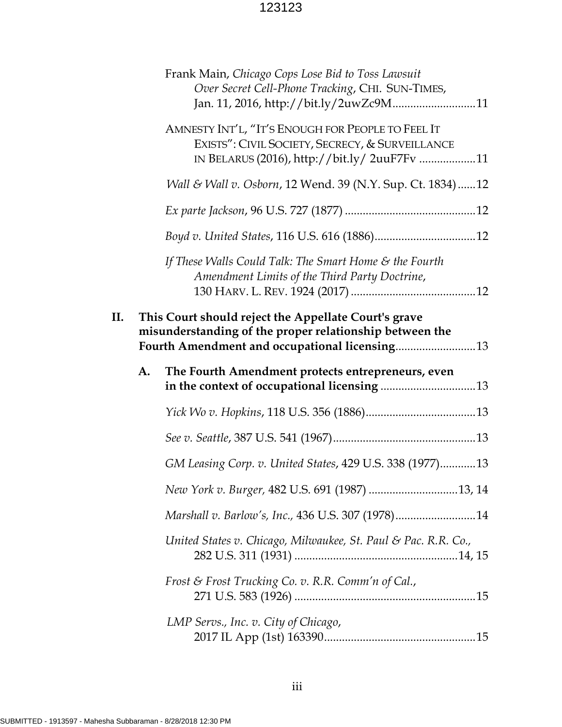|    |    | Frank Main, Chicago Cops Lose Bid to Toss Lawsuit<br>Over Secret Cell-Phone Tracking, CHI. SUN-TIMES,<br>Jan. 11, 2016, http://bit.ly/2uwZc9M11                  |  |
|----|----|------------------------------------------------------------------------------------------------------------------------------------------------------------------|--|
|    |    | AMNESTY INT'L, "IT'S ENOUGH FOR PEOPLE TO FEEL IT<br>EXISTS": CIVIL SOCIETY, SECRECY, & SURVEILLANCE<br>IN BELARUS (2016), http://bit.ly/ 2uuF7Fv 11             |  |
|    |    | Wall & Wall v. Osborn, 12 Wend. 39 (N.Y. Sup. Ct. 1834)12                                                                                                        |  |
|    |    |                                                                                                                                                                  |  |
|    |    |                                                                                                                                                                  |  |
|    |    | If These Walls Could Talk: The Smart Home & the Fourth<br>Amendment Limits of the Third Party Doctrine,                                                          |  |
| П. |    | This Court should reject the Appellate Court's grave<br>misunderstanding of the proper relationship between the<br>Fourth Amendment and occupational licensing13 |  |
|    |    |                                                                                                                                                                  |  |
|    | A. | The Fourth Amendment protects entrepreneurs, even                                                                                                                |  |
|    |    |                                                                                                                                                                  |  |
|    |    |                                                                                                                                                                  |  |
|    |    | GM Leasing Corp. v. United States, 429 U.S. 338 (1977)13                                                                                                         |  |
|    |    |                                                                                                                                                                  |  |
|    |    | Marshall v. Barlow's, Inc., 436 U.S. 307 (1978)14                                                                                                                |  |
|    |    | United States v. Chicago, Milwaukee, St. Paul & Pac. R.R. Co.,                                                                                                   |  |
|    |    | Frost & Frost Trucking Co. v. R.R. Comm'n of Cal.,                                                                                                               |  |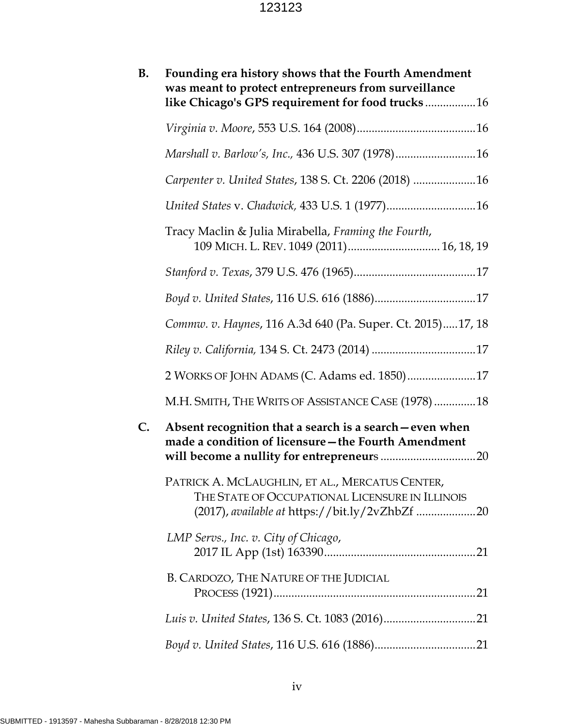| <b>B.</b> | Founding era history shows that the Fourth Amendment<br>was meant to protect entrepreneurs from surveillance<br>like Chicago's GPS requirement for food trucks16 |
|-----------|------------------------------------------------------------------------------------------------------------------------------------------------------------------|
|           |                                                                                                                                                                  |
|           | Marshall v. Barlow's, Inc., 436 U.S. 307 (1978)16                                                                                                                |
|           | Carpenter v. United States, 138 S. Ct. 2206 (2018) 16                                                                                                            |
|           |                                                                                                                                                                  |
|           | Tracy Maclin & Julia Mirabella, Framing the Fourth,<br>109 MICH. L. REV. 1049 (2011) 16, 18, 19                                                                  |
|           |                                                                                                                                                                  |
|           |                                                                                                                                                                  |
|           | Commw. v. Haynes, 116 A.3d 640 (Pa. Super. Ct. 2015)17, 18                                                                                                       |
|           |                                                                                                                                                                  |
|           | 2 WORKS OF JOHN ADAMS (C. Adams ed. 1850)17                                                                                                                      |
|           | M.H. SMITH, THE WRITS OF ASSISTANCE CASE (1978) 18                                                                                                               |
| C.        | Absent recognition that a search is a search - even when<br>made a condition of licensure - the Fourth Amendment                                                 |
|           | PATRICK A. MCLAUGHLIN, ET AL., MERCATUS CENTER,<br>THE STATE OF OCCUPATIONAL LICENSURE IN ILLINOIS                                                               |
|           | LMP Servs., Inc. v. City of Chicago,                                                                                                                             |
|           | B. CARDOZO, THE NATURE OF THE JUDICIAL                                                                                                                           |
|           |                                                                                                                                                                  |
|           |                                                                                                                                                                  |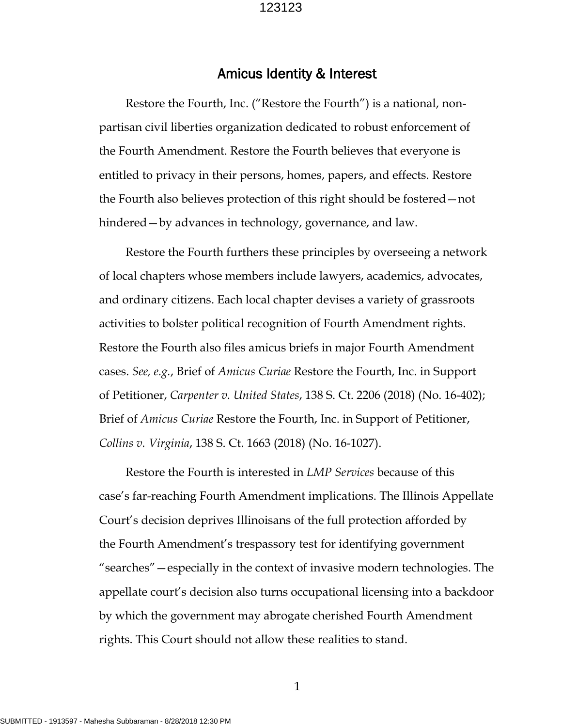#### Amicus Identity & Interest

Restore the Fourth, Inc. ("Restore the Fourth") is a national, nonpartisan civil liberties organization dedicated to robust enforcement of the Fourth Amendment. Restore the Fourth believes that everyone is entitled to privacy in their persons, homes, papers, and effects. Restore the Fourth also believes protection of this right should be fostered—not hindered—by advances in technology, governance, and law.

Restore the Fourth furthers these principles by overseeing a network of local chapters whose members include lawyers, academics, advocates, and ordinary citizens. Each local chapter devises a variety of grassroots activities to bolster political recognition of Fourth Amendment rights. Restore the Fourth also files amicus briefs in major Fourth Amendment cases. *See, e.g.*, Brief of *Amicus Curiae* Restore the Fourth, Inc. in Support of Petitioner, *Carpenter v. United States*, 138 S. Ct. 2206 (2018) (No. 16-402); Brief of *Amicus Curiae* Restore the Fourth, Inc. in Support of Petitioner, *Collins v. Virginia*, 138 S. Ct. 1663 (2018) (No. 16-1027).

Restore the Fourth is interested in *LMP Services* because of this case's far-reaching Fourth Amendment implications. The Illinois Appellate Court's decision deprives Illinoisans of the full protection afforded by the Fourth Amendment's trespassory test for identifying government "searches"—especially in the context of invasive modern technologies. The appellate court's decision also turns occupational licensing into a backdoor by which the government may abrogate cherished Fourth Amendment rights. This Court should not allow these realities to stand.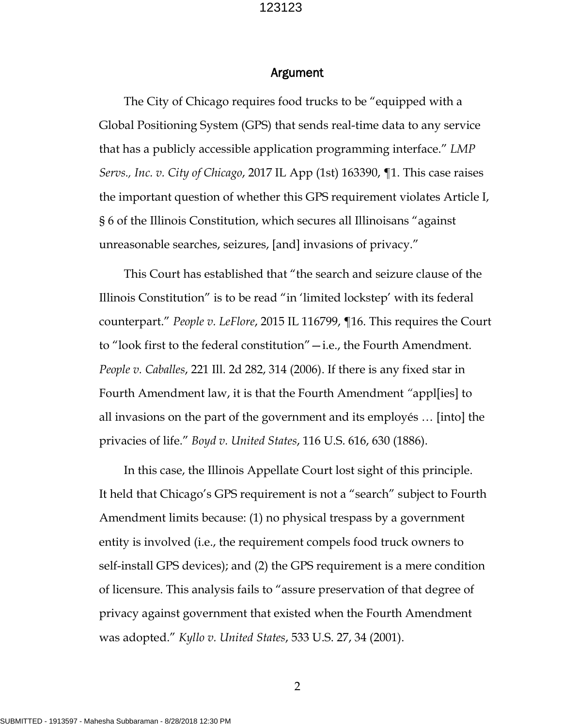#### Argument

The City of Chicago requires food trucks to be "equipped with a Global Positioning System (GPS) that sends real-time data to any service that has a publicly accessible application programming interface." *LMP Servs., Inc. v. City of Chicago*, 2017 IL App (1st) 163390, ¶1. This case raises the important question of whether this GPS requirement violates Article I, § 6 of the Illinois Constitution, which secures all Illinoisans "against unreasonable searches, seizures, [and] invasions of privacy."

This Court has established that "the search and seizure clause of the Illinois Constitution" is to be read "in 'limited lockstep' with its federal counterpart." *People v. LeFlore*, 2015 IL 116799, ¶16. This requires the Court to "look first to the federal constitution"—i.e., the Fourth Amendment. *People v. Caballes*, 221 Ill. 2d 282, 314 (2006). If there is any fixed star in Fourth Amendment law, it is that the Fourth Amendment *"*appl[ies] to all invasions on the part of the government and its employés … [into] the privacies of life." *Boyd v. United States*, 116 U.S. 616, 630 (1886).

In this case, the Illinois Appellate Court lost sight of this principle. It held that Chicago's GPS requirement is not a "search" subject to Fourth Amendment limits because: (1) no physical trespass by a government entity is involved (i.e., the requirement compels food truck owners to self-install GPS devices); and (2) the GPS requirement is a mere condition of licensure. This analysis fails to "assure preservation of that degree of privacy against government that existed when the Fourth Amendment was adopted." *Kyllo v. United States*, 533 U.S. 27, 34 (2001).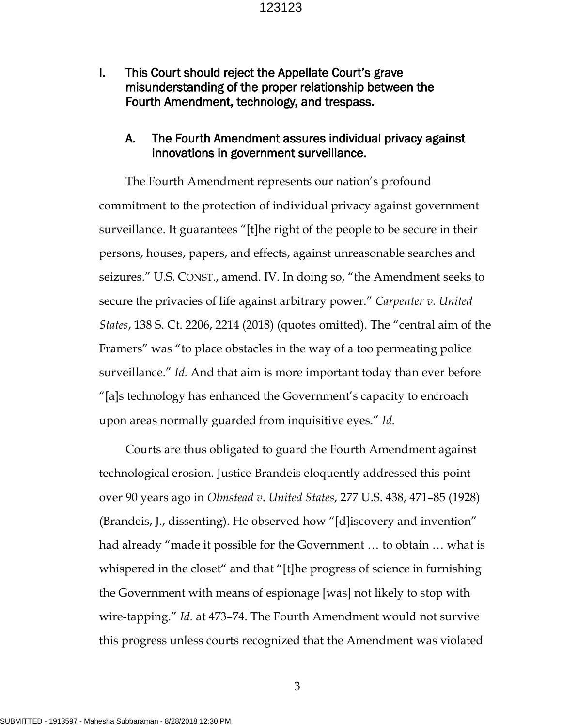I. This Court should reject the Appellate Court's grave misunderstanding of the proper relationship between the Fourth Amendment, technology, and trespass.

#### A. The Fourth Amendment assures individual privacy against innovations in government surveillance.

The Fourth Amendment represents our nation's profound commitment to the protection of individual privacy against government surveillance. It guarantees "[t]he right of the people to be secure in their persons, houses, papers, and effects, against unreasonable searches and seizures." U.S. CONST., amend. IV. In doing so, "the Amendment seeks to secure the privacies of life against arbitrary power." *Carpenter v. United States*, 138 S. Ct. 2206, 2214 (2018) (quotes omitted). The "central aim of the Framers" was "to place obstacles in the way of a too permeating police surveillance." *Id.* And that aim is more important today than ever before "[a]s technology has enhanced the Government's capacity to encroach upon areas normally guarded from inquisitive eyes." *Id.* 

Courts are thus obligated to guard the Fourth Amendment against technological erosion. Justice Brandeis eloquently addressed this point over 90 years ago in *Olmstead v*. *United States*, 277 U.S. 438, 471–85 (1928) (Brandeis, J., dissenting). He observed how "[d]iscovery and invention" had already "made it possible for the Government … to obtain … what is whispered in the closet" and that "[t]he progress of science in furnishing the Government with means of espionage [was] not likely to stop with wire-tapping." *Id.* at 473–74. The Fourth Amendment would not survive this progress unless courts recognized that the Amendment was violated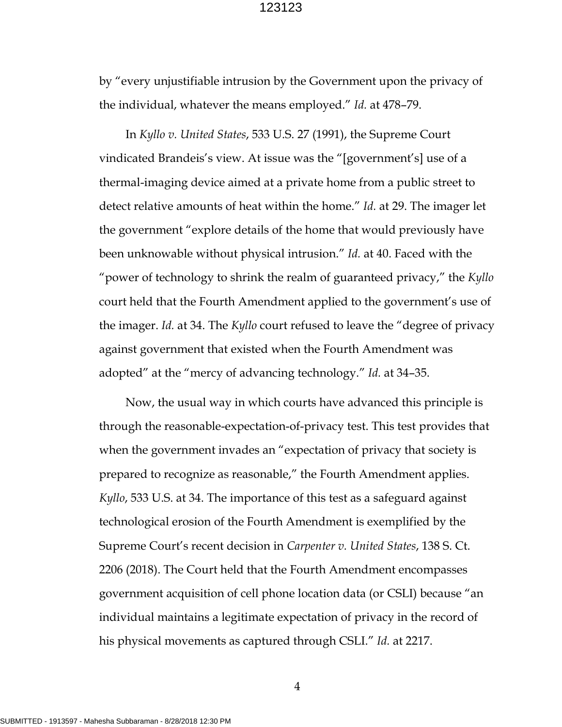by "every unjustifiable intrusion by the Government upon the privacy of the individual, whatever the means employed." *Id.* at 478–79.

In *Kyllo v. United States*, 533 U.S. 27 (1991), the Supreme Court vindicated Brandeis's view. At issue was the "[government's] use of a thermal-imaging device aimed at a private home from a public street to detect relative amounts of heat within the home." *Id.* at 29. The imager let the government "explore details of the home that would previously have been unknowable without physical intrusion." *Id.* at 40. Faced with the "power of technology to shrink the realm of guaranteed privacy," the *Kyllo* court held that the Fourth Amendment applied to the government's use of the imager. *Id.* at 34. The *Kyllo* court refused to leave the "degree of privacy against government that existed when the Fourth Amendment was adopted" at the "mercy of advancing technology." *Id.* at 34–35.

Now, the usual way in which courts have advanced this principle is through the reasonable-expectation-of-privacy test. This test provides that when the government invades an "expectation of privacy that society is prepared to recognize as reasonable," the Fourth Amendment applies. *Kyllo*, 533 U.S. at 34. The importance of this test as a safeguard against technological erosion of the Fourth Amendment is exemplified by the Supreme Court's recent decision in *Carpenter v. United States*, 138 S. Ct. 2206 (2018). The Court held that the Fourth Amendment encompasses government acquisition of cell phone location data (or CSLI) because "an individual maintains a legitimate expectation of privacy in the record of his physical movements as captured through CSLI." *Id.* at 2217.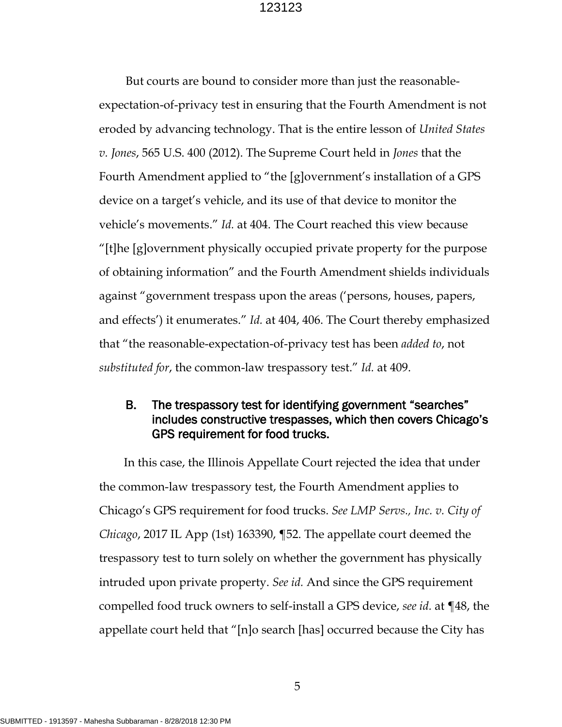But courts are bound to consider more than just the reasonableexpectation-of-privacy test in ensuring that the Fourth Amendment is not eroded by advancing technology. That is the entire lesson of *United States v. Jones*, 565 U.S. 400 (2012). The Supreme Court held in *Jones* that the Fourth Amendment applied to "the [g]overnment's installation of a GPS device on a target's vehicle, and its use of that device to monitor the vehicle's movements." *Id.* at 404. The Court reached this view because "[t]he [g]overnment physically occupied private property for the purpose of obtaining information" and the Fourth Amendment shields individuals against "government trespass upon the areas ('persons, houses, papers, and effects') it enumerates." *Id.* at 404, 406. The Court thereby emphasized that "the reasonable-expectation-of-privacy test has been *added to*, not *substituted for*, the common-law trespassory test." *Id.* at 409.

## B. The trespassory test for identifying government "searches" includes constructive trespasses, which then covers Chicago's GPS requirement for food trucks.

In this case, the Illinois Appellate Court rejected the idea that under the common-law trespassory test, the Fourth Amendment applies to Chicago's GPS requirement for food trucks. *See LMP Servs., Inc. v. City of Chicago*, 2017 IL App (1st) 163390, ¶52. The appellate court deemed the trespassory test to turn solely on whether the government has physically intruded upon private property. *See id.* And since the GPS requirement compelled food truck owners to self-install a GPS device, *see id.* at ¶48, the appellate court held that "[n]o search [has] occurred because the City has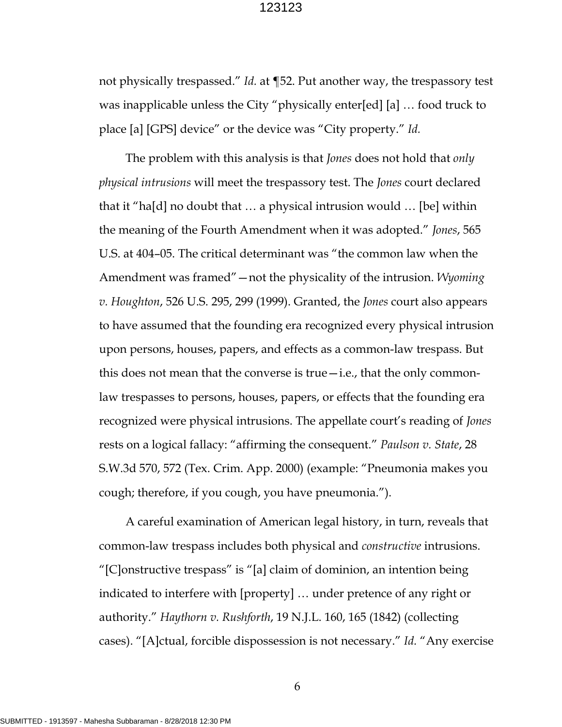not physically trespassed." *Id.* at ¶52. Put another way, the trespassory test was inapplicable unless the City "physically enter[ed] [a] … food truck to place [a] [GPS] device" or the device was "City property." *Id.*

The problem with this analysis is that *Jones* does not hold that *only physical intrusions* will meet the trespassory test. The *Jones* court declared that it "ha[d] no doubt that … a physical intrusion would … [be] within the meaning of the Fourth Amendment when it was adopted." *Jones*, 565 U.S. at 404–05. The critical determinant was "the common law when the Amendment was framed"—not the physicality of the intrusion. *Wyoming v. Houghton*, 526 U.S. 295, 299 (1999). Granted, the *Jones* court also appears to have assumed that the founding era recognized every physical intrusion upon persons, houses, papers, and effects as a common-law trespass. But this does not mean that the converse is true—i.e., that the only commonlaw trespasses to persons, houses, papers, or effects that the founding era recognized were physical intrusions. The appellate court's reading of *Jones*  rests on a logical fallacy: "affirming the consequent." *Paulson v. State*, 28 S.W.3d 570, 572 (Tex. Crim. App. 2000) (example: "Pneumonia makes you cough; therefore, if you cough, you have pneumonia.").

A careful examination of American legal history, in turn, reveals that common-law trespass includes both physical and *constructive* intrusions. "[C]onstructive trespass" is "[a] claim of dominion, an intention being indicated to interfere with [property] … under pretence of any right or authority." *Haythorn v. Rushforth*, 19 N.J.L. 160, 165 (1842) (collecting cases). "[A]ctual, forcible dispossession is not necessary." *Id.* "Any exercise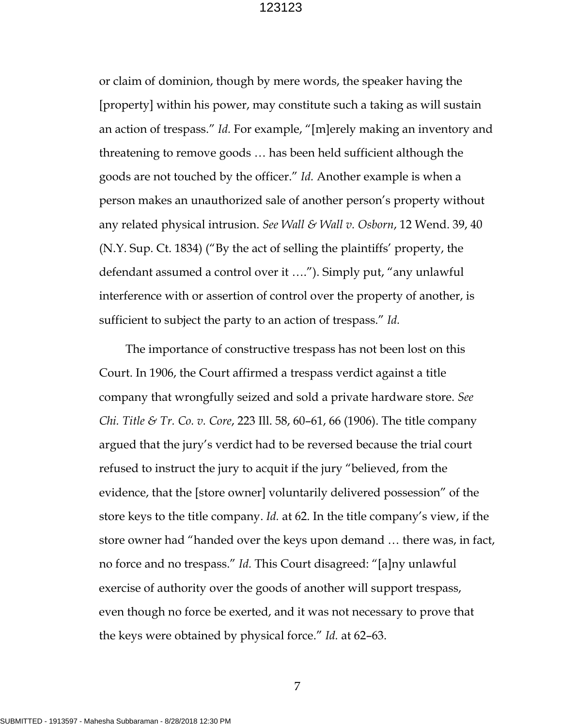or claim of dominion, though by mere words, the speaker having the [property] within his power, may constitute such a taking as will sustain an action of trespass." *Id.* For example, "[m]erely making an inventory and threatening to remove goods … has been held sufficient although the goods are not touched by the officer." *Id.* Another example is when a person makes an unauthorized sale of another person's property without any related physical intrusion. *See Wall & Wall v. Osborn*, 12 Wend. 39, 40 (N.Y. Sup. Ct. 1834) ("By the act of selling the plaintiffs' property, the defendant assumed a control over it …."). Simply put, "any unlawful interference with or assertion of control over the property of another, is sufficient to subject the party to an action of trespass." *Id.* 

The importance of constructive trespass has not been lost on this Court. In 1906, the Court affirmed a trespass verdict against a title company that wrongfully seized and sold a private hardware store. *See Chi. Title & Tr. Co. v. Core*, 223 Ill. 58, 60–61, 66 (1906). The title company argued that the jury's verdict had to be reversed because the trial court refused to instruct the jury to acquit if the jury "believed, from the evidence, that the [store owner] voluntarily delivered possession" of the store keys to the title company. *Id.* at 62. In the title company's view, if the store owner had "handed over the keys upon demand … there was, in fact, no force and no trespass." *Id.* This Court disagreed: "[a]ny unlawful exercise of authority over the goods of another will support trespass, even though no force be exerted, and it was not necessary to prove that the keys were obtained by physical force." *Id.* at 62–63.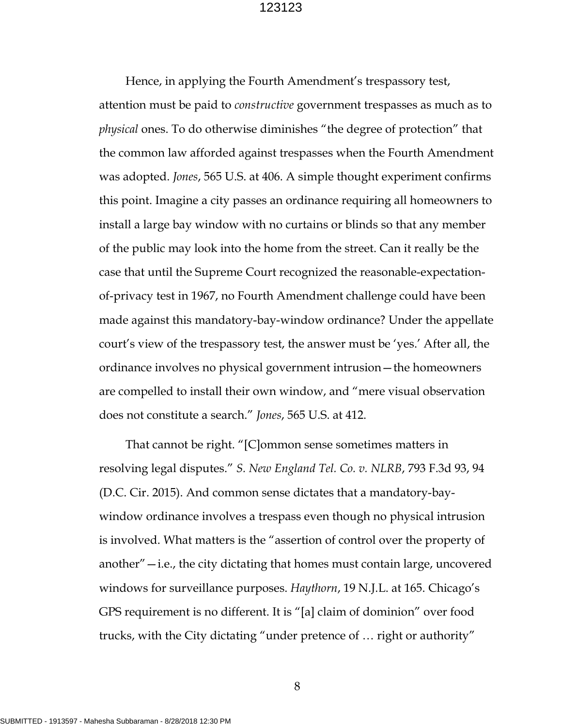Hence, in applying the Fourth Amendment's trespassory test, attention must be paid to *constructive* government trespasses as much as to *physical* ones. To do otherwise diminishes "the degree of protection" that the common law afforded against trespasses when the Fourth Amendment was adopted. *Jones*, 565 U.S. at 406. A simple thought experiment confirms this point. Imagine a city passes an ordinance requiring all homeowners to install a large bay window with no curtains or blinds so that any member of the public may look into the home from the street. Can it really be the case that until the Supreme Court recognized the reasonable-expectationof-privacy test in 1967, no Fourth Amendment challenge could have been made against this mandatory-bay-window ordinance? Under the appellate court's view of the trespassory test, the answer must be 'yes.' After all, the ordinance involves no physical government intrusion—the homeowners are compelled to install their own window, and "mere visual observation does not constitute a search." *Jones*, 565 U.S. at 412.

That cannot be right. "[C]ommon sense sometimes matters in resolving legal disputes." *S. New England Tel. Co. v. NLRB*, 793 F.3d 93, 94 (D.C. Cir. 2015). And common sense dictates that a mandatory-baywindow ordinance involves a trespass even though no physical intrusion is involved. What matters is the "assertion of control over the property of another" $-$ i.e., the city dictating that homes must contain large, uncovered windows for surveillance purposes. *Haythorn*, 19 N.J.L. at 165. Chicago's GPS requirement is no different. It is "[a] claim of dominion" over food trucks, with the City dictating "under pretence of … right or authority"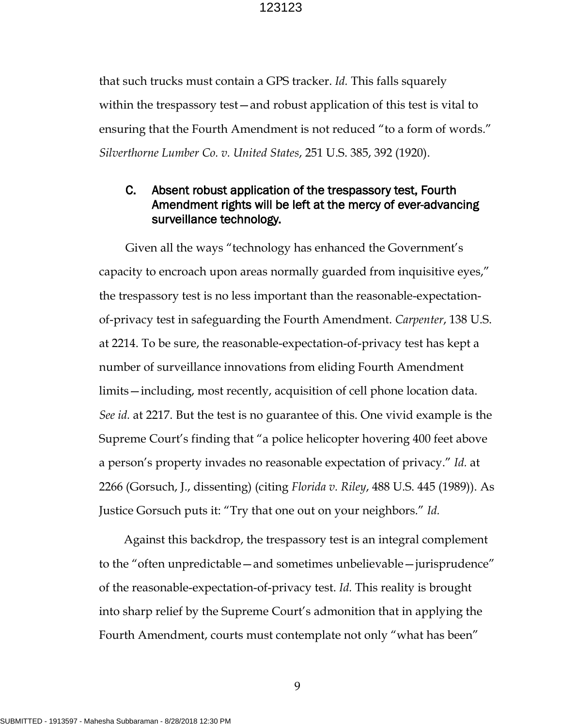that such trucks must contain a GPS tracker. *Id.* This falls squarely within the trespassory test—and robust application of this test is vital to ensuring that the Fourth Amendment is not reduced "to a form of words." *Silverthorne Lumber Co. v. United States*, 251 U.S. 385, 392 (1920).

## C. Absent robust application of the trespassory test, Fourth Amendment rights will be left at the mercy of ever-advancing surveillance technology.

Given all the ways "technology has enhanced the Government's capacity to encroach upon areas normally guarded from inquisitive eyes," the trespassory test is no less important than the reasonable-expectationof-privacy test in safeguarding the Fourth Amendment. *Carpenter*, 138 U.S. at 2214. To be sure, the reasonable-expectation-of-privacy test has kept a number of surveillance innovations from eliding Fourth Amendment limits—including, most recently, acquisition of cell phone location data. *See id.* at 2217. But the test is no guarantee of this. One vivid example is the Supreme Court's finding that "a police helicopter hovering 400 feet above a person's property invades no reasonable expectation of privacy." *Id.* at 2266 (Gorsuch, J., dissenting) (citing *Florida v. Riley*, 488 U.S. 445 (1989)). As Justice Gorsuch puts it: "Try that one out on your neighbors." *Id.*

Against this backdrop, the trespassory test is an integral complement to the "often unpredictable—and sometimes unbelievable—jurisprudence" of the reasonable-expectation-of-privacy test. *Id.* This reality is brought into sharp relief by the Supreme Court's admonition that in applying the Fourth Amendment, courts must contemplate not only "what has been"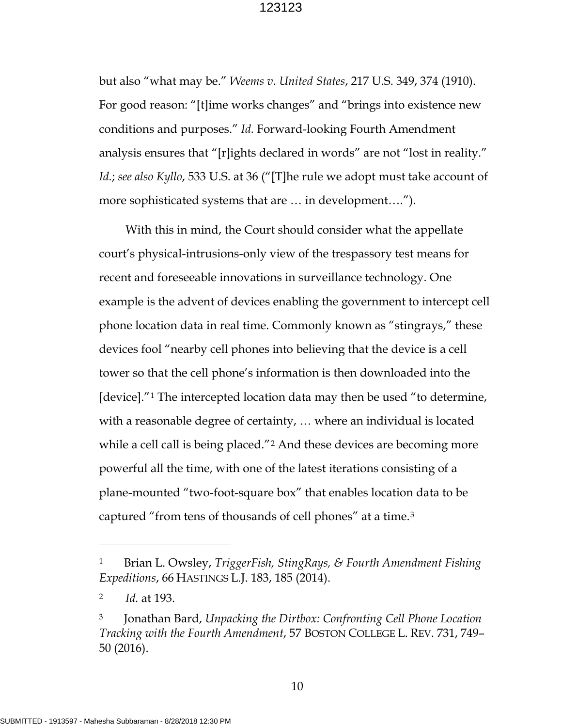but also "what may be." *Weems v. United States*, 217 U.S. 349, 374 (1910). For good reason: "[t]ime works changes" and "brings into existence new conditions and purposes." *Id.* Forward-looking Fourth Amendment analysis ensures that "[r]ights declared in words" are not "lost in reality." *Id.*; *see also Kyllo*, 533 U.S. at 36 ("[T]he rule we adopt must take account of more sophisticated systems that are … in development….").

With this in mind, the Court should consider what the appellate court's physical-intrusions-only view of the trespassory test means for recent and foreseeable innovations in surveillance technology. One example is the advent of devices enabling the government to intercept cell phone location data in real time. Commonly known as "stingrays," these devices fool "nearby cell phones into believing that the device is a cell tower so that the cell phone's information is then downloaded into the [device]."[1](#page-15-0) The intercepted location data may then be used "to determine, with a reasonable degree of certainty, … where an individual is located while a cell call is being placed."<sup>[2](#page-15-1)</sup> And these devices are becoming more powerful all the time, with one of the latest iterations consisting of a plane-mounted "two-foot-square box" that enables location data to be captured "from tens of thousands of cell phones" at a time.[3](#page-15-2) 

 $\overline{a}$ 

<span id="page-15-0"></span><sup>1</sup> Brian L. Owsley, *TriggerFish, StingRays, & Fourth Amendment Fishing Expeditions*, 66 HASTINGS L.J. 183, 185 (2014).

<span id="page-15-1"></span><sup>2</sup> *Id.* at 193.

<span id="page-15-2"></span><sup>3</sup> Jonathan Bard, *Unpacking the Dirtbox: Confronting Cell Phone Location Tracking with the Fourth Amendment*, 57 BOSTON COLLEGE L. REV. 731, 749– 50 (2016).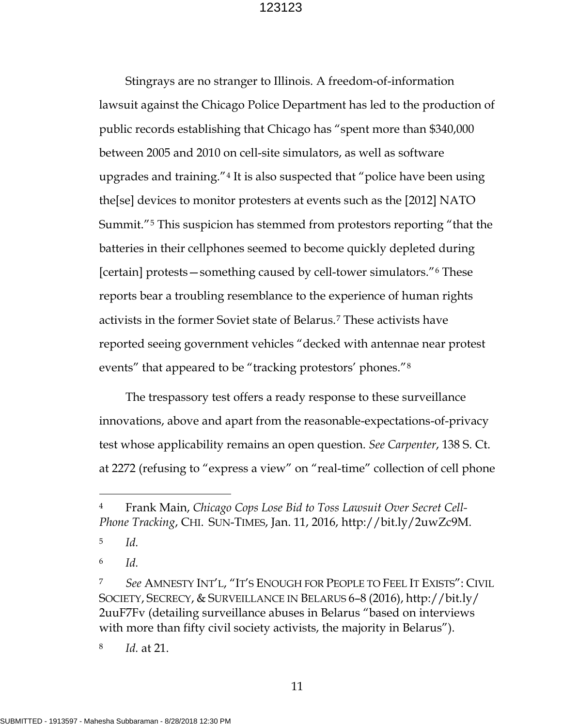Stingrays are no stranger to Illinois. A freedom-of-information lawsuit against the Chicago Police Department has led to the production of public records establishing that Chicago has "spent more than \$340,000 between 2005 and 2010 on cell-site simulators, as well as software upgrades and training."[4](#page-16-0) It is also suspected that "police have been using the[se] devices to monitor protesters at events such as the [2012] NATO Summit."[5](#page-16-1) This suspicion has stemmed from protestors reporting "that the batteries in their cellphones seemed to become quickly depleted during [certain] protests—something caused by cell-tower simulators."[6](#page-16-2) These reports bear a troubling resemblance to the experience of human rights activists in the former Soviet state of Belarus.[7](#page-16-3) These activists have reported seeing government vehicles "decked with antennae near protest events" that appeared to be "tracking protestors' phones."[8](#page-16-4)

The trespassory test offers a ready response to these surveillance innovations, above and apart from the reasonable-expectations-of-privacy test whose applicability remains an open question. *See Carpenter*, 138 S. Ct. at 2272 (refusing to "express a view" on "real-time" collection of cell phone

<span id="page-16-1"></span>5 *Id.*

 $\overline{a}$ 

<span id="page-16-2"></span>6 *Id.*

<span id="page-16-4"></span>8 *Id.* at 21.

<span id="page-16-0"></span><sup>4</sup> Frank Main, *Chicago Cops Lose Bid to Toss Lawsuit Over Secret Cell-Phone Tracking*, CHI. SUN-TIMES, Jan. 11, 2016, http://bit.ly/2uwZc9M.

<span id="page-16-3"></span><sup>7</sup> *See* AMNESTY INT'L, "IT'S ENOUGH FOR PEOPLE TO FEEL IT EXISTS": CIVIL SOCIETY, SECRECY, & SURVEILLANCE IN BELARUS 6–8 (2016), http://bit.ly/ 2uuF7Fv (detailing surveillance abuses in Belarus "based on interviews with more than fifty civil society activists, the majority in Belarus").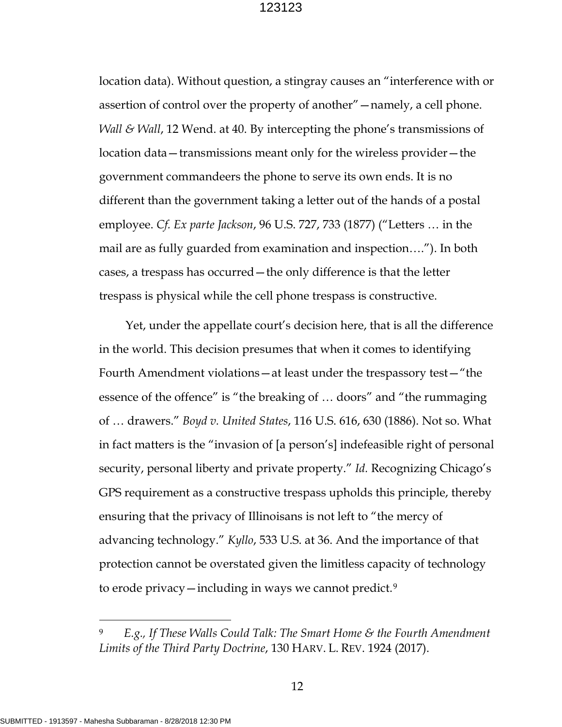location data). Without question, a stingray causes an "interference with or assertion of control over the property of another"—namely, a cell phone. *Wall & Wall*, 12 Wend. at 40. By intercepting the phone's transmissions of location data—transmissions meant only for the wireless provider—the government commandeers the phone to serve its own ends. It is no different than the government taking a letter out of the hands of a postal employee. *Cf. Ex parte Jackson*, 96 U.S. 727, 733 (1877) ("Letters … in the mail are as fully guarded from examination and inspection…."). In both cases, a trespass has occurred—the only difference is that the letter trespass is physical while the cell phone trespass is constructive.

Yet, under the appellate court's decision here, that is all the difference in the world. This decision presumes that when it comes to identifying Fourth Amendment violations—at least under the trespassory test—"the essence of the offence" is "the breaking of … doors" and "the rummaging of … drawers." *Boyd v. United States*, 116 U.S. 616, 630 (1886). Not so. What in fact matters is the "invasion of [a person's] indefeasible right of personal security, personal liberty and private property." *Id.* Recognizing Chicago's GPS requirement as a constructive trespass upholds this principle, thereby ensuring that the privacy of Illinoisans is not left to "the mercy of advancing technology." *Kyllo*, 533 U.S. at 36. And the importance of that protection cannot be overstated given the limitless capacity of technology to erode privacy—including in ways we cannot predict.[9](#page-17-0)

 $\overline{a}$ 

<span id="page-17-0"></span><sup>9</sup> *E.g., If These Walls Could Talk: The Smart Home & the Fourth Amendment Limits of the Third Party Doctrine*, 130 HARV. L. REV. 1924 (2017).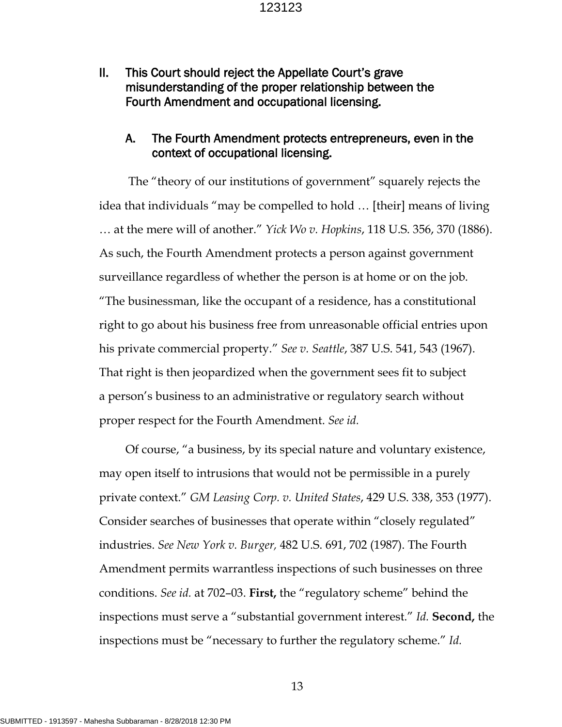II. This Court should reject the Appellate Court's grave misunderstanding of the proper relationship between the Fourth Amendment and occupational licensing.

#### A. The Fourth Amendment protects entrepreneurs, even in the context of occupational licensing.

 The "theory of our institutions of government" squarely rejects the idea that individuals "may be compelled to hold … [their] means of living … at the mere will of another." *Yick Wo v. Hopkins*, 118 U.S. 356, 370 (1886). As such, the Fourth Amendment protects a person against government surveillance regardless of whether the person is at home or on the job. "The businessman, like the occupant of a residence, has a constitutional right to go about his business free from unreasonable official entries upon his private commercial property." *See v. Seattle*, 387 U.S. 541, 543 (1967). That right is then jeopardized when the government sees fit to subject a person's business to an administrative or regulatory search without proper respect for the Fourth Amendment. *See id.*

Of course, "a business, by its special nature and voluntary existence, may open itself to intrusions that would not be permissible in a purely private context." *GM Leasing Corp. v. United States*, 429 U.S. 338, 353 (1977). Consider searches of businesses that operate within "closely regulated" industries. *See New York v. Burger,* 482 U.S. 691, 702 (1987). The Fourth Amendment permits warrantless inspections of such businesses on three conditions. *See id.* at 702–03. **First,** the "regulatory scheme" behind the inspections must serve a "substantial government interest." *Id.* **Second,** the inspections must be "necessary to further the regulatory scheme." *Id.*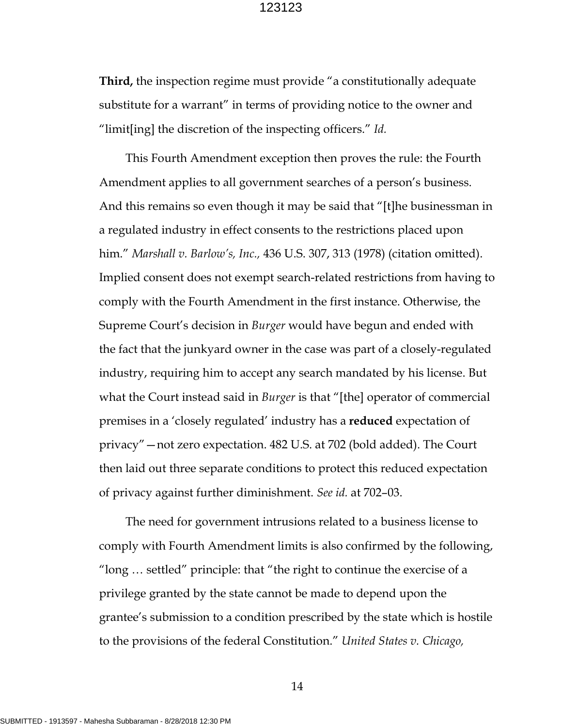**Third,** the inspection regime must provide "a constitutionally adequate substitute for a warrant" in terms of providing notice to the owner and "limit[ing] the discretion of the inspecting officers." *Id.* 

This Fourth Amendment exception then proves the rule: the Fourth Amendment applies to all government searches of a person's business. And this remains so even though it may be said that "[t]he businessman in a regulated industry in effect consents to the restrictions placed upon him." *Marshall v. Barlow's, Inc.,* 436 U.S. 307, 313 (1978) (citation omitted). Implied consent does not exempt search-related restrictions from having to comply with the Fourth Amendment in the first instance. Otherwise, the Supreme Court's decision in *Burger* would have begun and ended with the fact that the junkyard owner in the case was part of a closely-regulated industry, requiring him to accept any search mandated by his license. But what the Court instead said in *Burger* is that "[the] operator of commercial premises in a 'closely regulated' industry has a **reduced** expectation of privacy"—not zero expectation. 482 U.S. at 702 (bold added). The Court then laid out three separate conditions to protect this reduced expectation of privacy against further diminishment. *See id.* at 702–03.

The need for government intrusions related to a business license to comply with Fourth Amendment limits is also confirmed by the following, "long … settled" principle: that "the right to continue the exercise of a privilege granted by the state cannot be made to depend upon the grantee's submission to a condition prescribed by the state which is hostile to the provisions of the federal Constitution." *United States v. Chicago,*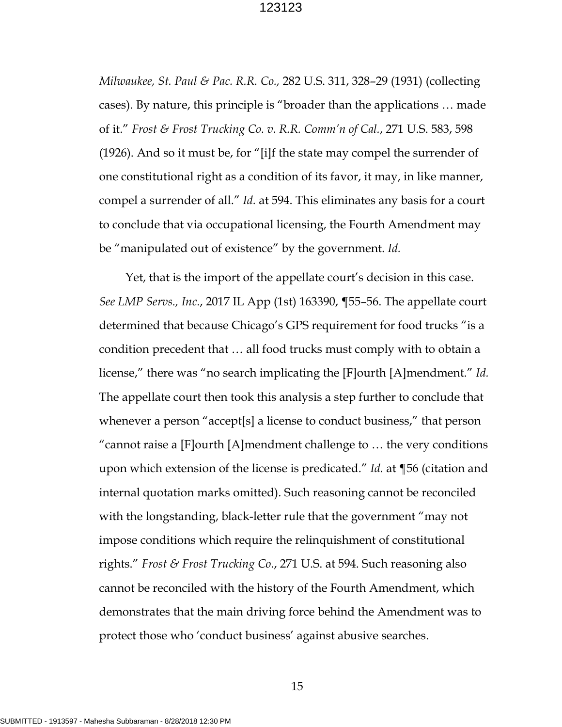*Milwaukee, St. Paul & Pac. R.R. Co.,* 282 U.S. 311, 328–29 (1931) (collecting cases). By nature, this principle is "broader than the applications … made of it." *Frost & Frost Trucking Co. v. R.R. Comm'n of Cal.*, 271 U.S. 583, 598 (1926). And so it must be, for "[i]f the state may compel the surrender of one constitutional right as a condition of its favor, it may, in like manner, compel a surrender of all." *Id.* at 594. This eliminates any basis for a court to conclude that via occupational licensing, the Fourth Amendment may be "manipulated out of existence" by the government. *Id.* 

Yet, that is the import of the appellate court's decision in this case. *See LMP Servs., Inc.*, 2017 IL App (1st) 163390, ¶55–56. The appellate court determined that because Chicago's GPS requirement for food trucks "is a condition precedent that … all food trucks must comply with to obtain a license," there was "no search implicating the [F]ourth [A]mendment." *Id.*  The appellate court then took this analysis a step further to conclude that whenever a person "accept[s] a license to conduct business," that person "cannot raise a [F]ourth [A]mendment challenge to … the very conditions upon which extension of the license is predicated." *Id.* at ¶56 (citation and internal quotation marks omitted). Such reasoning cannot be reconciled with the longstanding, black-letter rule that the government "may not impose conditions which require the relinquishment of constitutional rights." *Frost & Frost Trucking Co.*, 271 U.S. at 594. Such reasoning also cannot be reconciled with the history of the Fourth Amendment, which demonstrates that the main driving force behind the Amendment was to protect those who 'conduct business' against abusive searches.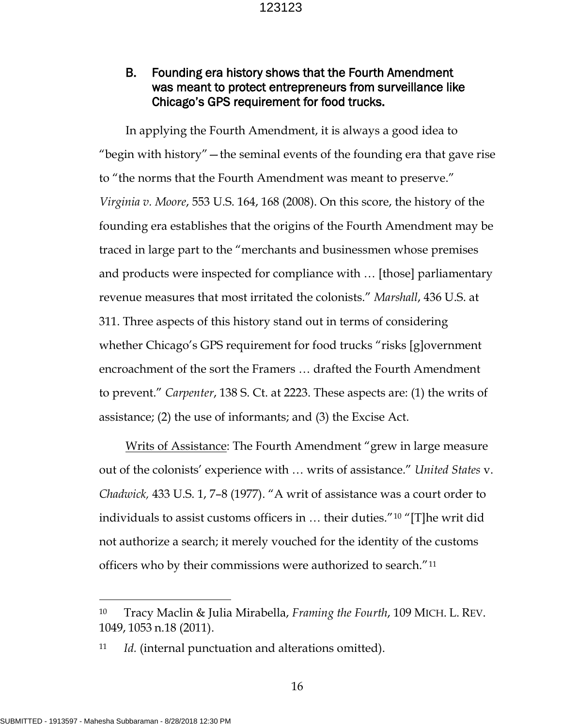## B. Founding era history shows that the Fourth Amendment was meant to protect entrepreneurs from surveillance like Chicago's GPS requirement for food trucks.

In applying the Fourth Amendment, it is always a good idea to "begin with history" — the seminal events of the founding era that gave rise to "the norms that the Fourth Amendment was meant to preserve." *Virginia v. Moore*, 553 U.S. 164, 168 (2008). On this score, the history of the founding era establishes that the origins of the Fourth Amendment may be traced in large part to the "merchants and businessmen whose premises and products were inspected for compliance with … [those] parliamentary revenue measures that most irritated the colonists." *Marshall*, 436 U.S. at 311. Three aspects of this history stand out in terms of considering whether Chicago's GPS requirement for food trucks "risks [g]overnment encroachment of the sort the Framers … drafted the Fourth Amendment to prevent." *Carpenter*, 138 S. Ct. at 2223. These aspects are: (1) the writs of assistance; (2) the use of informants; and (3) the Excise Act.

Writs of Assistance: The Fourth Amendment "grew in large measure out of the colonists' experience with … writs of assistance." *United States* v. *Chadwick,* 433 U.S. 1, 7–8 (1977). "A writ of assistance was a court order to individuals to assist customs officers in … their duties."[10](#page-21-0) "[T]he writ did not authorize a search; it merely vouched for the identity of the customs officers who by their commissions were authorized to search."[11](#page-21-1) 

 $\overline{a}$ 

<span id="page-21-0"></span><sup>10</sup> Tracy Maclin & Julia Mirabella, *Framing the Fourth*, 109 MICH. L. REV. 1049, 1053 n.18 (2011).

<span id="page-21-1"></span><sup>11</sup> *Id.* (internal punctuation and alterations omitted).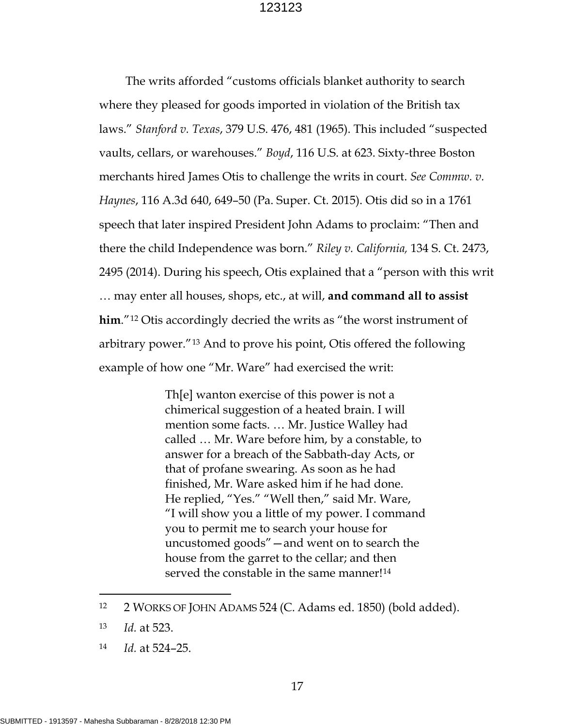The writs afforded "customs officials blanket authority to search where they pleased for goods imported in violation of the British tax laws." *Stanford v. Texas*, 379 U.S. 476, 481 (1965). This included "suspected vaults, cellars, or warehouses." *Boyd*, 116 U.S. at 623. Sixty-three Boston merchants hired James Otis to challenge the writs in court. *See Commw. v. Haynes*, 116 A.3d 640, 649–50 (Pa. Super. Ct. 2015). Otis did so in a 1761 speech that later inspired President John Adams to proclaim: "Then and there the child Independence was born." *Riley v. California,* 134 S. Ct. 2473, 2495 (2014). During his speech, Otis explained that a "person with this writ … may enter all houses, shops, etc., at will, **and command all to assist him**."[12](#page-22-0) Otis accordingly decried the writs as "the worst instrument of arbitrary power."[13](#page-22-1) And to prove his point, Otis offered the following example of how one "Mr. Ware" had exercised the writ:

> Th[e] wanton exercise of this power is not a chimerical suggestion of a heated brain. I will mention some facts. … Mr. Justice Walley had called … Mr. Ware before him, by a constable, to answer for a breach of the Sabbath-day Acts, or that of profane swearing. As soon as he had finished, Mr. Ware asked him if he had done. He replied, "Yes." "Well then," said Mr. Ware, "I will show you a little of my power. I command you to permit me to search your house for uncustomed goods"—and went on to search the house from the garret to the cellar; and then served the constable in the same manner!<sup>[14](#page-22-2)</sup>

 $\overline{a}$ 

<span id="page-22-0"></span><sup>12 2</sup> WORKS OF JOHN ADAMS 524 (C. Adams ed. 1850) (bold added).

<span id="page-22-1"></span><sup>13</sup> *Id.* at 523.

<span id="page-22-2"></span><sup>14</sup> *Id.* at 524–25.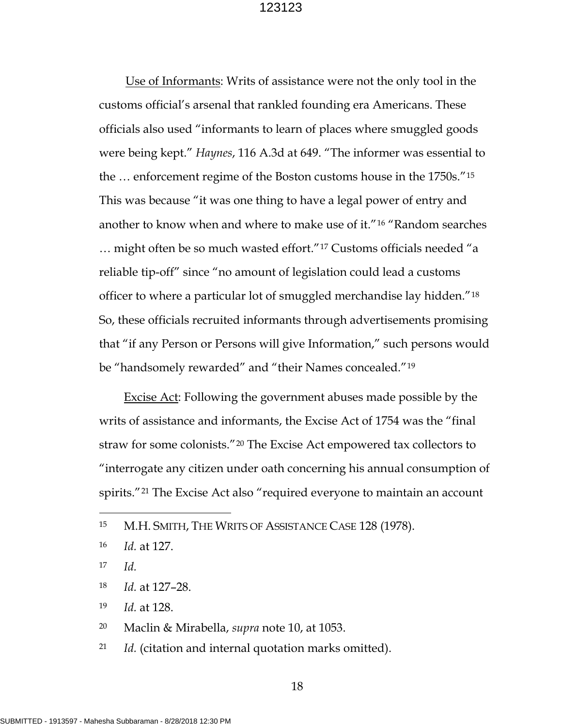Use of Informants: Writs of assistance were not the only tool in the customs official's arsenal that rankled founding era Americans. These officials also used "informants to learn of places where smuggled goods were being kept." *Haynes*, 116 A.3d at 649. "The informer was essential to the … enforcement regime of the Boston customs house in the 1750s."[15](#page-23-0) This was because "it was one thing to have a legal power of entry and another to know when and where to make use of it."[16](#page-23-1) "Random searches … might often be so much wasted effort."[17](#page-23-2) Customs officials needed "a reliable tip-off" since "no amount of legislation could lead a customs officer to where a particular lot of smuggled merchandise lay hidden."[18](#page-23-3) So, these officials recruited informants through advertisements promising that "if any Person or Persons will give Information," such persons would be "handsomely rewarded" and "their Names concealed."[19](#page-23-4) 

Excise Act: Following the government abuses made possible by the writs of assistance and informants, the Excise Act of 1754 was the "final straw for some colonists."[20](#page-23-5) The Excise Act empowered tax collectors to "interrogate any citizen under oath concerning his annual consumption of spirits."[21](#page-23-6) The Excise Act also "required everyone to maintain an account

<span id="page-23-2"></span>17 *Id.*

 $\overline{a}$ 

<span id="page-23-3"></span>18 *Id.* at 127–28.

<span id="page-23-4"></span>19 *Id.* at 128.

<span id="page-23-5"></span>20 Maclin & Mirabella, *supra* note 10, at 1053.

<span id="page-23-6"></span>21 *Id.* (citation and internal quotation marks omitted).

<span id="page-23-0"></span><sup>15</sup> M.H. SMITH, THE WRITS OF ASSISTANCE CASE 128 (1978).

<span id="page-23-1"></span><sup>16</sup> *Id.* at 127.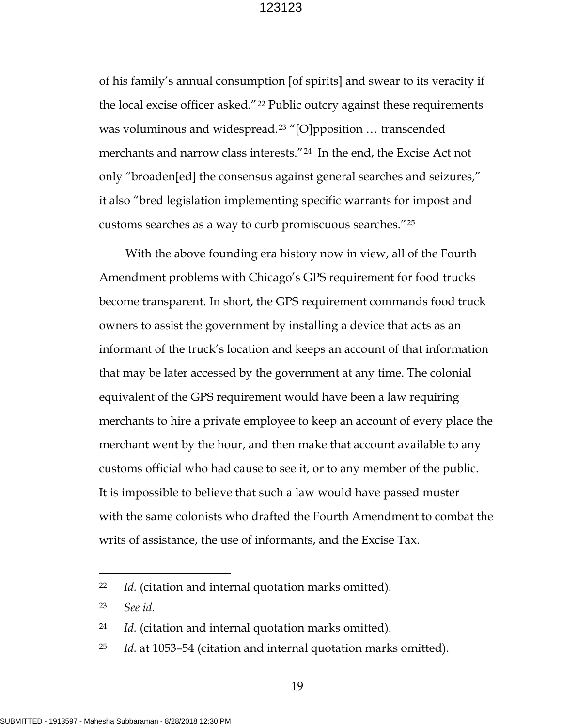of his family's annual consumption [of spirits] and swear to its veracity if the local excise officer asked."[22](#page-24-0) Public outcry against these requirements was voluminous and widespread.[23](#page-24-1) "[O]pposition … transcended merchants and narrow class interests."[24](#page-24-2) In the end, the Excise Act not only "broaden[ed] the consensus against general searches and seizures," it also "bred legislation implementing specific warrants for impost and customs searches as a way to curb promiscuous searches."[25](#page-24-3)

With the above founding era history now in view, all of the Fourth Amendment problems with Chicago's GPS requirement for food trucks become transparent. In short, the GPS requirement commands food truck owners to assist the government by installing a device that acts as an informant of the truck's location and keeps an account of that information that may be later accessed by the government at any time. The colonial equivalent of the GPS requirement would have been a law requiring merchants to hire a private employee to keep an account of every place the merchant went by the hour, and then make that account available to any customs official who had cause to see it, or to any member of the public. It is impossible to believe that such a law would have passed muster with the same colonists who drafted the Fourth Amendment to combat the writs of assistance, the use of informants, and the Excise Tax.

 $\overline{a}$ 

<span id="page-24-0"></span><sup>22</sup> *Id.* (citation and internal quotation marks omitted).

<span id="page-24-1"></span><sup>23</sup> *See id.*

<span id="page-24-2"></span><sup>24</sup> *Id.* (citation and internal quotation marks omitted).

<span id="page-24-3"></span><sup>25</sup> *Id.* at 1053–54 (citation and internal quotation marks omitted).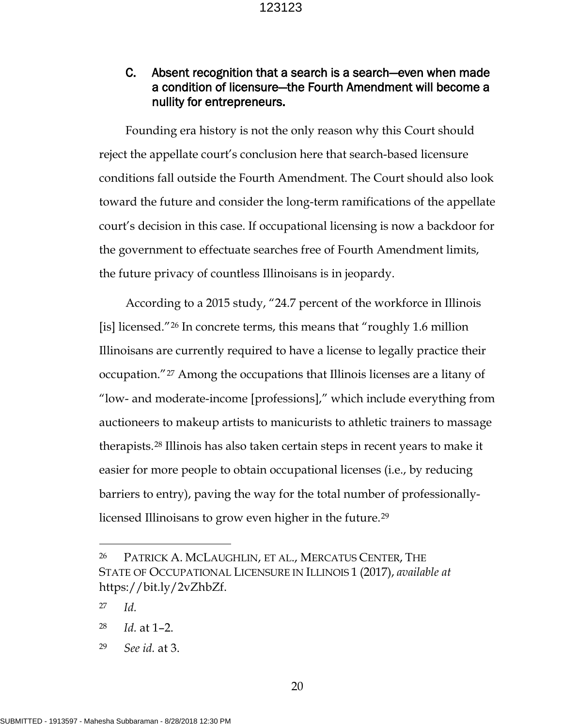## C. Absent recognition that a search is a search—even when made a condition of licensure—the Fourth Amendment will become a nullity for entrepreneurs.

Founding era history is not the only reason why this Court should reject the appellate court's conclusion here that search-based licensure conditions fall outside the Fourth Amendment. The Court should also look toward the future and consider the long-term ramifications of the appellate court's decision in this case. If occupational licensing is now a backdoor for the government to effectuate searches free of Fourth Amendment limits, the future privacy of countless Illinoisans is in jeopardy.

According to a 2015 study, "24.7 percent of the workforce in Illinois [is] licensed."[26](#page-25-0) In concrete terms, this means that "roughly 1.6 million Illinoisans are currently required to have a license to legally practice their occupation."[27](#page-25-1) Among the occupations that Illinois licenses are a litany of "low- and moderate-income [professions]," which include everything from auctioneers to makeup artists to manicurists to athletic trainers to massage therapists.[28](#page-25-2) Illinois has also taken certain steps in recent years to make it easier for more people to obtain occupational licenses (i.e., by reducing barriers to entry), paving the way for the total number of professionallylicensed Illinoisans to grow even higher in the future.[29](#page-25-3) 

 $\overline{a}$ 

<span id="page-25-3"></span>29 *See id.* at 3.

<span id="page-25-0"></span><sup>26</sup> PATRICK A. MCLAUGHLIN, ET AL., MERCATUS CENTER, THE STATE OF OCCUPATIONAL LICENSURE IN ILLINOIS 1 (2017), *available at*  https://bit.ly/2vZhbZf.

<span id="page-25-1"></span><sup>27</sup> *Id.* 

<span id="page-25-2"></span><sup>28</sup> *Id.* at 1–2.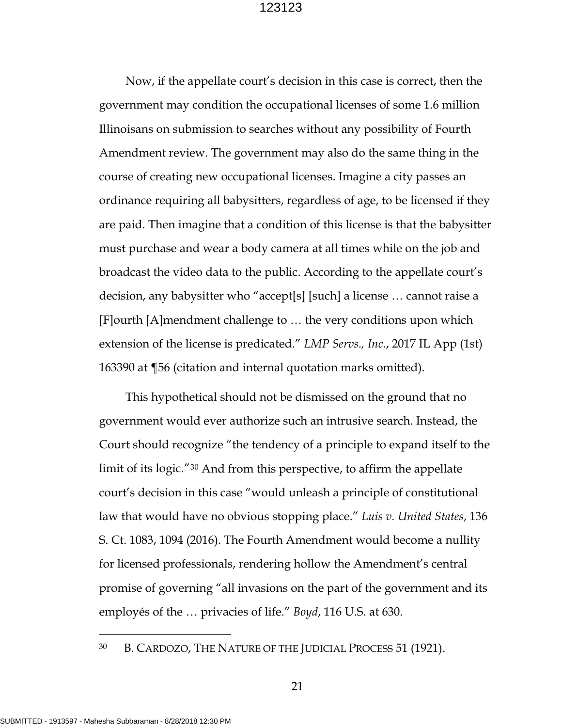Now, if the appellate court's decision in this case is correct, then the government may condition the occupational licenses of some 1.6 million Illinoisans on submission to searches without any possibility of Fourth Amendment review. The government may also do the same thing in the course of creating new occupational licenses. Imagine a city passes an ordinance requiring all babysitters, regardless of age, to be licensed if they are paid. Then imagine that a condition of this license is that the babysitter must purchase and wear a body camera at all times while on the job and broadcast the video data to the public. According to the appellate court's decision, any babysitter who "accept[s] [such] a license … cannot raise a [F]ourth [A]mendment challenge to … the very conditions upon which extension of the license is predicated." *LMP Servs., Inc.*, 2017 IL App (1st) 163390 at ¶56 (citation and internal quotation marks omitted).

This hypothetical should not be dismissed on the ground that no government would ever authorize such an intrusive search. Instead, the Court should recognize "the tendency of a principle to expand itself to the limit of its logic."[30](#page-26-0) And from this perspective, to affirm the appellate court's decision in this case "would unleash a principle of constitutional law that would have no obvious stopping place." *Luis v. United States*, 136 S. Ct. 1083, 1094 (2016). The Fourth Amendment would become a nullity for licensed professionals, rendering hollow the Amendment's central promise of governing "all invasions on the part of the government and its employés of the … privacies of life." *Boyd*, 116 U.S. at 630.

<span id="page-26-0"></span>30 B. CARDOZO, THE NATURE OF THE JUDICIAL PROCESS 51 (1921).

21

 $\overline{a}$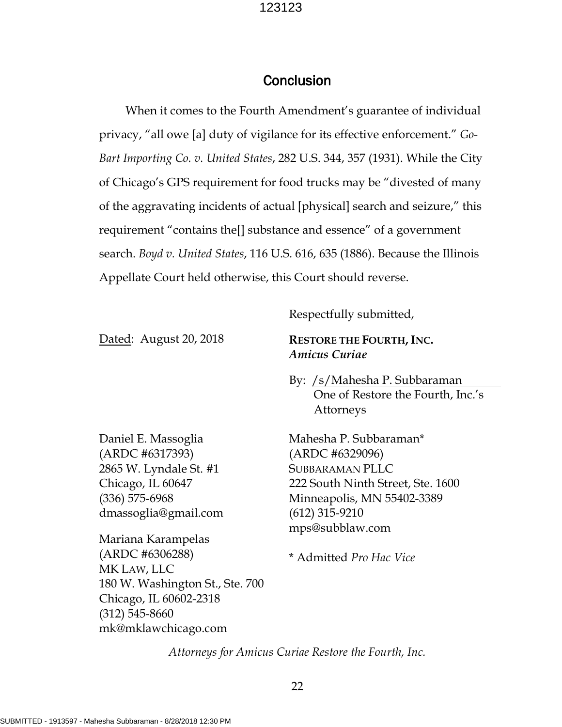## Conclusion

When it comes to the Fourth Amendment's guarantee of individual privacy, "all owe [a] duty of vigilance for its effective enforcement." *Go-Bart Importing Co. v. United States*, 282 U.S. 344, 357 (1931). While the City of Chicago's GPS requirement for food trucks may be "divested of many of the aggravating incidents of actual [physical] search and seizure," this requirement "contains the[] substance and essence" of a government search. *Boyd v. United States*, 116 U.S. 616, 635 (1886). Because the Illinois Appellate Court held otherwise, this Court should reverse.

Respectfully submitted,

Dated: August 20, 2018

**RESTORE THE FOURTH, INC.**  *Amicus Curiae*

By: /s/Mahesha P. Subbaraman One of Restore the Fourth, Inc.'s Attorneys

Daniel E. Massoglia (ARDC #6317393) 2865 W. Lyndale St. #1 Chicago, IL 60647 (336) 575-6968 dmassoglia@gmail.com Mahesha P. Subbaraman\* (ARDC #6329096) SUBBARAMAN PLLC 222 South Ninth Street, Ste. 1600 Minneapolis, MN 55402-3389 (612) 315-9210 mps@subblaw.com

Mariana Karampelas (ARDC #6306288) MK LAW, LLC 180 W. Washington St., Ste. 700 Chicago, IL 60602-2318 (312) 545-8660 mk@mklawchicago.com

\* Admitted *Pro Hac Vice*

*Attorneys for Amicus Curiae Restore the Fourth, Inc.*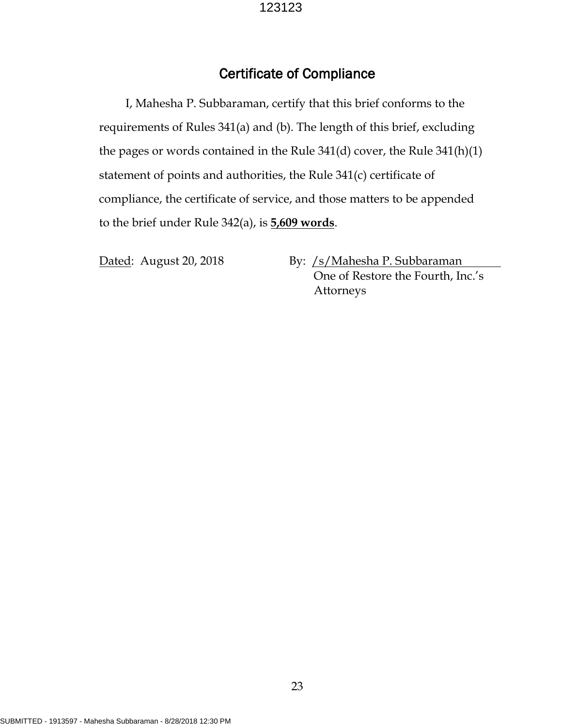## Certificate of Compliance

I, Mahesha P. Subbaraman, certify that this brief conforms to the requirements of Rules 341(a) and (b). The length of this brief, excluding the pages or words contained in the Rule 341(d) cover, the Rule 341(h)(1) statement of points and authorities, the Rule 341(c) certificate of compliance, the certificate of service, and those matters to be appended to the brief under Rule 342(a), is **5,609 words**.

Dated: August 20, 2018 By: /s/Mahesha P. Subbaraman One of Restore the Fourth, Inc.'s Attorneys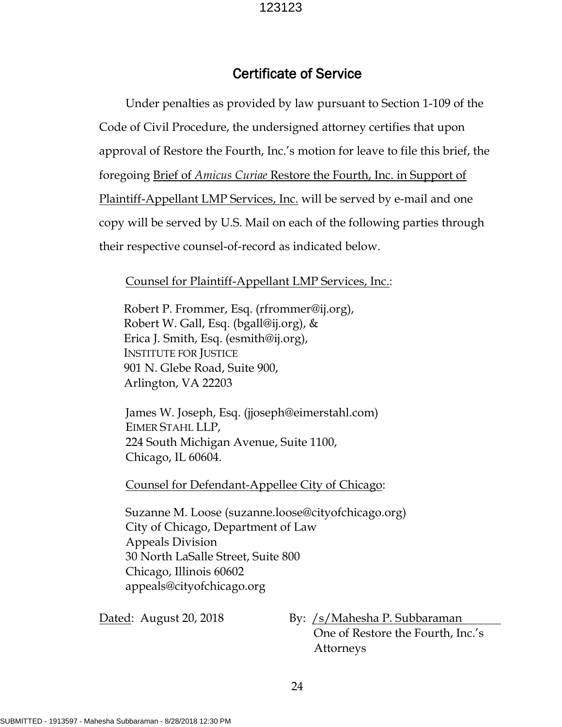## Certificate of Service

Under penalties as provided by law pursuant to Section 1-109 of the Code of Civil Procedure, the undersigned attorney certifies that upon approval of Restore the Fourth, Inc.'s motion for leave to file this brief, the foregoing Brief of *Amicus Curiae* Restore the Fourth, Inc. in Support of Plaintiff-Appellant LMP Services, Inc. will be served by e-mail and one copy will be served by U.S. Mail on each of the following parties through their respective counsel-of-record as indicated below.

#### Counsel for Plaintiff-Appellant LMP Services, Inc.:

Robert P. Frommer, Esq. (rfrommer@ij.org), Robert W. Gall, Esq. (bgall@ij.org), & Erica J. Smith, Esq. (esmith@ij.org), INSTITUTE FOR JUSTICE 901 N. Glebe Road, Suite 900, Arlington, VA 22203

James W. Joseph, Esq. (jjoseph@eimerstahl.com) EIMER STAHL LLP, 224 South Michigan Avenue, Suite 1100, Chicago, IL 60604.

Counsel for Defendant-Appellee City of Chicago:

Suzanne M. Loose (suzanne.loose@cityofchicago.org) City of Chicago, Department of Law Appeals Division 30 North LaSalle Street, Suite 800 Chicago, Illinois 60602 appeals@cityofchicago.org

Dated: August 20, 2018 By: /s/Mahesha P. Subbaraman One of Restore the Fourth, Inc.'s Attorneys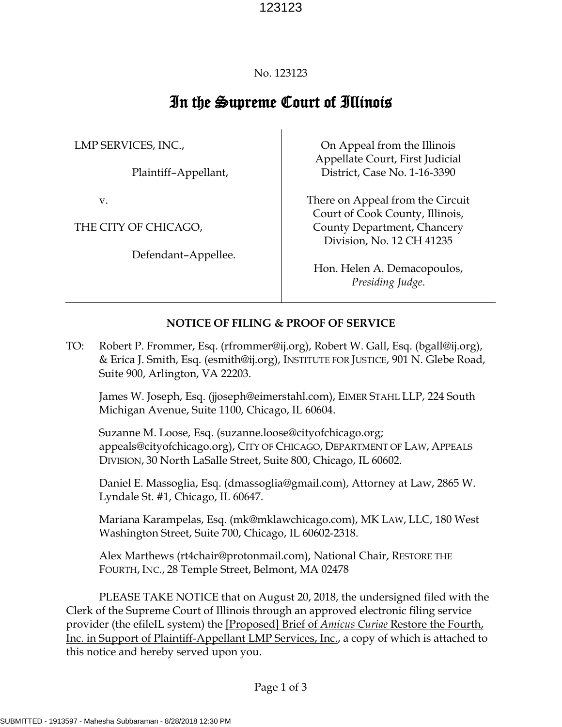#### No. 123123

# In the Supreme Court of Illinois

LMP SERVICES, INC.,

Plaintiff–Appellant,

v.

THE CITY OF CHICAGO,

Defendant–Appellee.

On Appeal from the Illinois Appellate Court, First Judicial District, Case No. 1-16-3390

There on Appeal from the Circuit Court of Cook County, Illinois, County Department, Chancery Division, No. 12 CH 41235

Hon. Helen A. Demacopoulos, *Presiding Judge*.

#### **NOTICE OF FILING & PROOF OF SERVICE**

TO: Robert P. Frommer, Esq. (rfrommer@ij.org), Robert W. Gall, Esq. (bgall@ij.org), & Erica J. Smith, Esq. (esmith@ij.org), INSTITUTE FOR JUSTICE, 901 N. Glebe Road, Suite 900, Arlington, VA 22203.

James W. Joseph, Esq. (jjoseph@eimerstahl.com), EIMER STAHL LLP, 224 South Michigan Avenue, Suite 1100, Chicago, IL 60604.

Suzanne M. Loose, Esq. (suzanne.loose@cityofchicago.org; appeals@cityofchicago.org), CITY OF CHICAGO, DEPARTMENT OF LAW, APPEALS DIVISION, 30 North LaSalle Street, Suite 800, Chicago, IL 60602.

Daniel E. Massoglia, Esq. (dmassoglia@gmail.com), Attorney at Law, 2865 W. Lyndale St. #1, Chicago, IL 60647.

Mariana Karampelas, Esq. (mk@mklawchicago.com), MK LAW, LLC, 180 West Washington Street, Suite 700, Chicago, IL 60602-2318.

Alex Marthews (rt4chair@protonmail.com), National Chair, RESTORE THE FOURTH, INC., 28 Temple Street, Belmont, MA 02478

PLEASE TAKE NOTICE that on August 20, 2018, the undersigned filed with the Clerk of the Supreme Court of Illinois through an approved electronic filing service provider (the efileIL system) the [Proposed] Brief of *Amicus Curiae* Restore the Fourth, Inc. in Support of Plaintiff-Appellant LMP Services, Inc., a copy of which is attached to this notice and hereby served upon you.

Page 1 of 3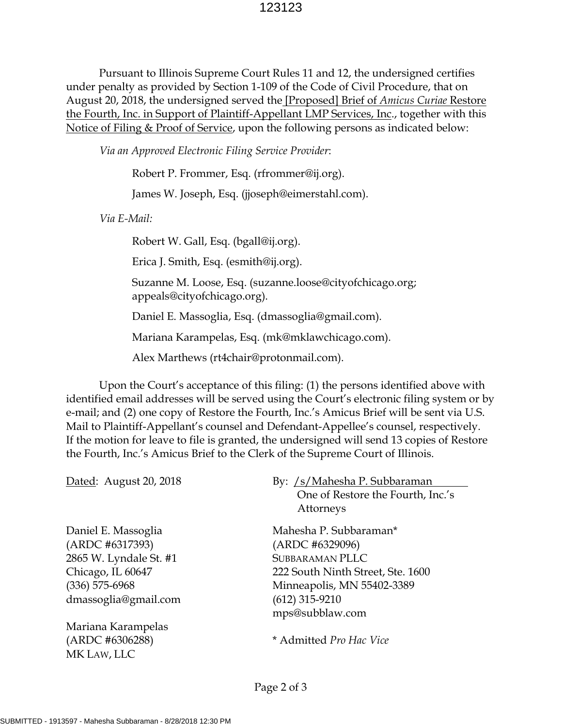Pursuant to Illinois Supreme Court Rules 11 and 12, the undersigned certifies under penalty as provided by Section 1-109 of the Code of Civil Procedure, that on August 20, 2018, the undersigned served the [Proposed] Brief of *Amicus Curiae* Restore the Fourth, Inc. in Support of Plaintiff-Appellant LMP Services, Inc., together with this Notice of Filing & Proof of Service, upon the following persons as indicated below:

*Via an Approved Electronic Filing Service Provider*:

Robert P. Frommer, Esq. (rfrommer@ij.org).

James W. Joseph, Esq. (jjoseph@eimerstahl.com).

*Via E-Mail:*

Robert W. Gall, Esq. (bgall@ij.org).

Erica J. Smith, Esq. (esmith@ij.org).

Suzanne M. Loose, Esq. (suzanne.loose@cityofchicago.org; appeals@cityofchicago.org).

Daniel E. Massoglia, Esq. (dmassoglia@gmail.com).

Mariana Karampelas, Esq. (mk@mklawchicago.com).

Alex Marthews (rt4chair@protonmail.com).

Upon the Court's acceptance of this filing: (1) the persons identified above with identified email addresses will be served using the Court's electronic filing system or by e-mail; and (2) one copy of Restore the Fourth, Inc.'s Amicus Brief will be sent via U.S. Mail to Plaintiff-Appellant's counsel and Defendant-Appellee's counsel, respectively. If the motion for leave to file is granted, the undersigned will send 13 copies of Restore the Fourth, Inc.'s Amicus Brief to the Clerk of the Supreme Court of Illinois.

Daniel E. Massoglia (ARDC #6317393) 2865 W. Lyndale St. #1 Chicago, IL 60647 (336) 575-6968 dmassoglia@gmail.com

Mariana Karampelas (ARDC #6306288) MK LAW, LLC

#### Dated: August 20, 2018 By: /s/Mahesha P. Subbaraman One of Restore the Fourth, Inc.'s Attorneys

Mahesha P. Subbaraman\* (ARDC #6329096) SUBBARAMAN PLLC 222 South Ninth Street, Ste. 1600 Minneapolis, MN 55402-3389 (612) 315-9210 mps@subblaw.com

\* Admitted *Pro Hac Vice*